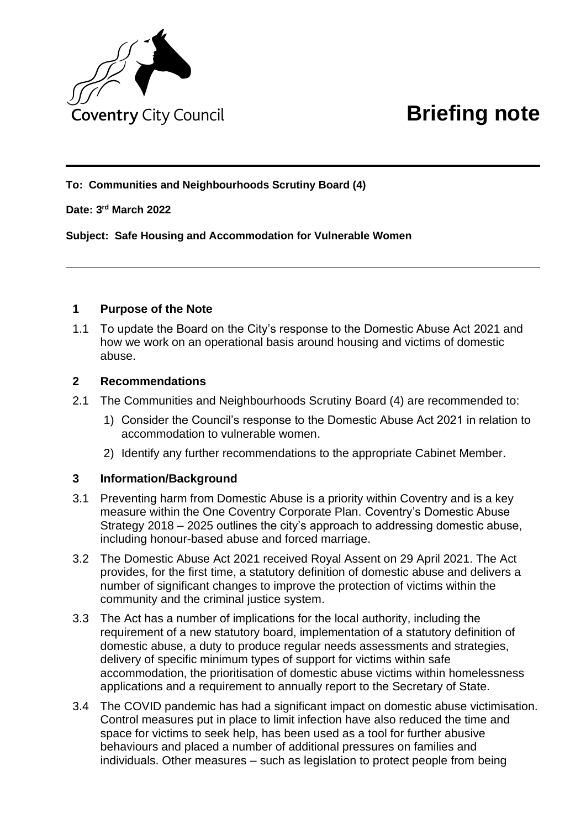

**To: Communities and Neighbourhoods Scrutiny Board (4)**

## **Date: 3 rd March 2022**

## 15. **Subject: Safe Housing and Accommodation for Vulnerable Women**

## **1 Purpose of the Note**

1.1 To update the Board on the City's response to the Domestic Abuse Act 2021 and how we work on an operational basis around housing and victims of domestic abuse.

#### **2 Recommendations**

- 2.1 The Communities and Neighbourhoods Scrutiny Board (4) are recommended to:
	- 1) Consider the Council's response to the Domestic Abuse Act 2021 in relation to accommodation to vulnerable women.
	- 2) Identify any further recommendations to the appropriate Cabinet Member.

# **3 Information/Background**

- 3.1 Preventing harm from Domestic Abuse is a priority within Coventry and is a key measure within the One Coventry Corporate Plan. Coventry's Domestic Abuse Strategy 2018 – 2025 outlines the city's approach to addressing domestic abuse, including honour-based abuse and forced marriage.
- 3.2 The Domestic Abuse Act 2021 received Royal Assent on 29 April 2021. The Act provides, for the first time, a statutory definition of domestic abuse and delivers a number of significant changes to improve the protection of victims within the community and the criminal justice system.
- 3.3 The Act has a number of implications for the local authority, including the requirement of a new statutory board, implementation of a statutory definition of domestic abuse, a duty to produce regular needs assessments and strategies, delivery of specific minimum types of support for victims within safe accommodation, the prioritisation of domestic abuse victims within homelessness applications and a requirement to annually report to the Secretary of State.
- 3.4 The COVID pandemic has had a significant impact on domestic abuse victimisation. Control measures put in place to limit infection have also reduced the time and space for victims to seek help, has been used as a tool for further abusive behaviours and placed a number of additional pressures on families and individuals. Other measures – such as legislation to protect people from being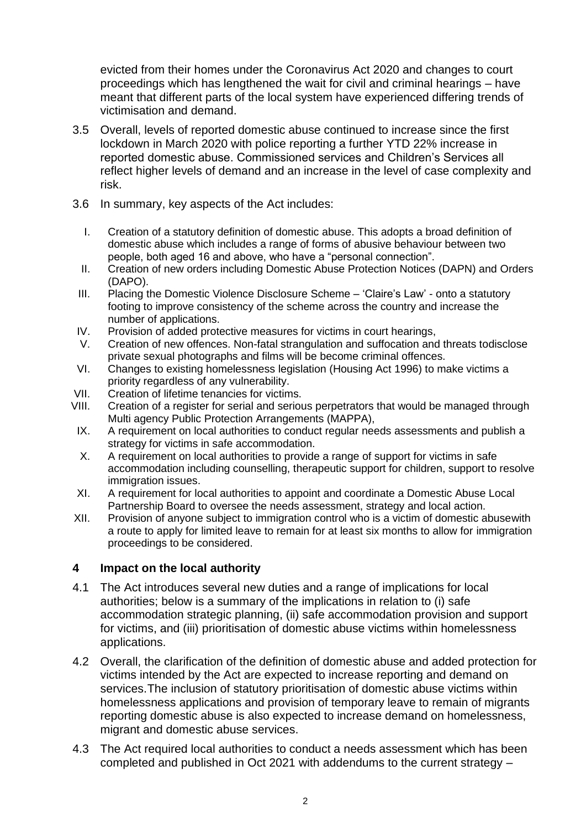evicted from their homes under the Coronavirus Act 2020 and changes to court proceedings which has lengthened the wait for civil and criminal hearings – have meant that different parts of the local system have experienced differing trends of victimisation and demand.

- 3.5 Overall, levels of reported domestic abuse continued to increase since the first lockdown in March 2020 with police reporting a further YTD 22% increase in reported domestic abuse. Commissioned services and Children's Services all reflect higher levels of demand and an increase in the level of case complexity and risk.
- 3.6 In summary, key aspects of the Act includes:
	- I. Creation of a statutory definition of domestic abuse. This adopts a broad definition of domestic abuse which includes a range of forms of abusive behaviour between two people, both aged 16 and above, who have a "personal connection".
	- II. Creation of new orders including Domestic Abuse Protection Notices (DAPN) and Orders (DAPO).
	- III. Placing the Domestic Violence Disclosure Scheme 'Claire's Law' onto a statutory footing to improve consistency of the scheme across the country and increase the number of applications.
- IV. Provision of added protective measures for victims in court hearings,
- V. Creation of new offences. Non-fatal strangulation and suffocation and threats todisclose private sexual photographs and films will be become criminal offences.
- VI. Changes to existing homelessness legislation (Housing Act 1996) to make victims a priority regardless of any vulnerability.
- VII. Creation of lifetime tenancies for victims.<br>VIII. Creation of a register for serial and seriou
- Creation of a register for serial and serious perpetrators that would be managed through Multi agency Public Protection Arrangements (MAPPA),
- IX. A requirement on local authorities to conduct regular needs assessments and publish a strategy for victims in safe accommodation.
- X. A requirement on local authorities to provide a range of support for victims in safe accommodation including counselling, therapeutic support for children, support to resolve immigration issues.
- XI. A requirement for local authorities to appoint and coordinate a Domestic Abuse Local Partnership Board to oversee the needs assessment, strategy and local action.
- XII. Provision of anyone subject to immigration control who is a victim of domestic abusewith a route to apply for limited leave to remain for at least six months to allow for immigration proceedings to be considered.

# **4 Impact on the local authority**

- 4.1 The Act introduces several new duties and a range of implications for local authorities; below is a summary of the implications in relation to (i) safe accommodation strategic planning, (ii) safe accommodation provision and support for victims, and (iii) prioritisation of domestic abuse victims within homelessness applications.
- 4.2 Overall, the clarification of the definition of domestic abuse and added protection for victims intended by the Act are expected to increase reporting and demand on services.The inclusion of statutory prioritisation of domestic abuse victims within homelessness applications and provision of temporary leave to remain of migrants reporting domestic abuse is also expected to increase demand on homelessness, migrant and domestic abuse services.
- 4.3 The Act required local authorities to conduct a needs assessment which has been completed and published in Oct 2021 with addendums to the current strategy –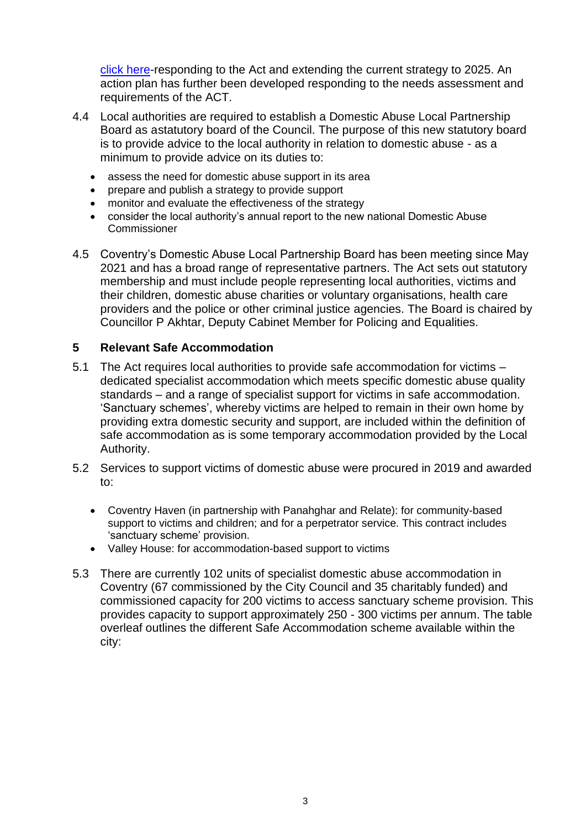[click here-](https://www.coventry.gov.uk/downloads/download/5118/domestic_abuse_strategy_2018-2023)responding to the Act and extending the current strategy to 2025. An action plan has further been developed responding to the needs assessment and requirements of the ACT.

- 4.4 Local authorities are required to establish a Domestic Abuse Local Partnership Board as astatutory board of the Council. The purpose of this new statutory board is to provide advice to the local authority in relation to domestic abuse - as a minimum to provide advice on its duties to:
	- assess the need for domestic abuse support in its area
	- prepare and publish a strategy to provide support
	- monitor and evaluate the effectiveness of the strategy
	- consider the local authority's annual report to the new national Domestic Abuse **Commissioner**
- 4.5 Coventry's Domestic Abuse Local Partnership Board has been meeting since May 2021 and has a broad range of representative partners. The Act sets out statutory membership and must include people representing local authorities, victims and their children, domestic abuse charities or voluntary organisations, health care providers and the police or other criminal justice agencies. The Board is chaired by Councillor P Akhtar, Deputy Cabinet Member for Policing and Equalities.

# **5 Relevant Safe Accommodation**

- 5.1 The Act requires local authorities to provide safe accommodation for victims dedicated specialist accommodation which meets specific domestic abuse quality standards – and a range of specialist support for victims in safe accommodation. 'Sanctuary schemes', whereby victims are helped to remain in their own home by providing extra domestic security and support, are included within the definition of safe accommodation as is some temporary accommodation provided by the Local Authority.
- 5.2 Services to support victims of domestic abuse were procured in 2019 and awarded to:
	- Coventry Haven (in partnership with Panahghar and Relate): for community-based support to victims and children; and for a perpetrator service. This contract includes 'sanctuary scheme' provision.
	- Valley House: for accommodation-based support to victims
- 5.3 There are currently 102 units of specialist domestic abuse accommodation in Coventry (67 commissioned by the City Council and 35 charitably funded) and commissioned capacity for 200 victims to access sanctuary scheme provision. This provides capacity to support approximately 250 - 300 victims per annum. The table overleaf outlines the different Safe Accommodation scheme available within the city: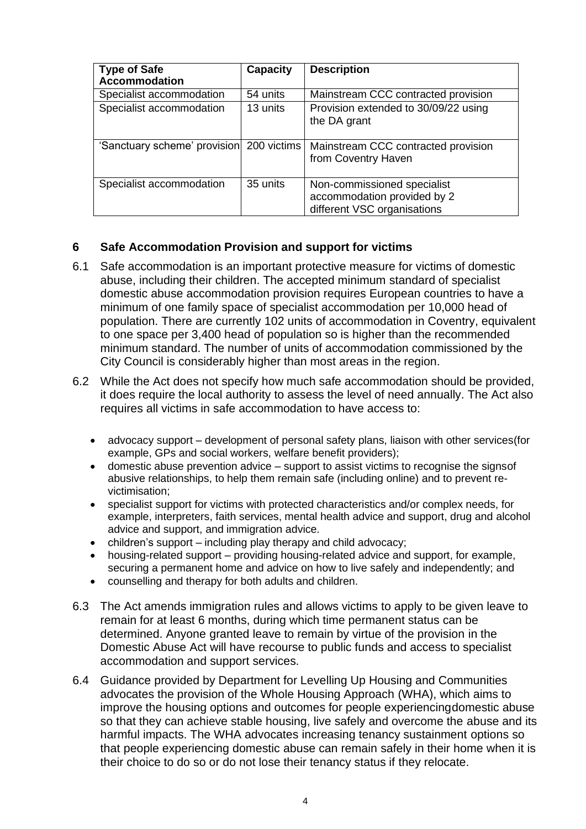| <b>Type of Safe</b>          | <b>Capacity</b> | <b>Description</b>                                                                        |
|------------------------------|-----------------|-------------------------------------------------------------------------------------------|
| <b>Accommodation</b>         |                 |                                                                                           |
| Specialist accommodation     | 54 units        | Mainstream CCC contracted provision                                                       |
| Specialist accommodation     | 13 units        | Provision extended to 30/09/22 using<br>the DA grant                                      |
| 'Sanctuary scheme' provision | 200 victims     | Mainstream CCC contracted provision<br>from Coventry Haven                                |
| Specialist accommodation     | 35 units        | Non-commissioned specialist<br>accommodation provided by 2<br>different VSC organisations |

# **6 Safe Accommodation Provision and support for victims**

- 6.1 Safe accommodation is an important protective measure for victims of domestic abuse, including their children. The accepted minimum standard of specialist domestic abuse accommodation provision requires European countries to have a minimum of one family space of specialist accommodation per 10,000 head of population. There are currently 102 units of accommodation in Coventry, equivalent to one space per 3,400 head of population so is higher than the recommended minimum standard. The number of units of accommodation commissioned by the City Council is considerably higher than most areas in the region.
- 6.2 While the Act does not specify how much safe accommodation should be provided, it does require the local authority to assess the level of need annually. The Act also requires all victims in safe accommodation to have access to:
	- advocacy support development of personal safety plans, liaison with other services(for example, GPs and social workers, welfare benefit providers);
	- domestic abuse prevention advice support to assist victims to recognise the signsof abusive relationships, to help them remain safe (including online) and to prevent revictimisation;
	- specialist support for victims with protected characteristics and/or complex needs, for example, interpreters, faith services, mental health advice and support, drug and alcohol advice and support, and immigration advice.
	- children's support including play therapy and child advocacy;
	- housing-related support providing housing-related advice and support, for example, securing a permanent home and advice on how to live safely and independently; and
	- counselling and therapy for both adults and children.
- 6.3 The Act amends immigration rules and allows victims to apply to be given leave to remain for at least 6 months, during which time permanent status can be determined. Anyone granted leave to remain by virtue of the provision in the Domestic Abuse Act will have recourse to public funds and access to specialist accommodation and support services.
- 6.4 Guidance provided by Department for Levelling Up Housing and Communities advocates the provision of the Whole Housing Approach (WHA), which aims to improve the housing options and outcomes for people experiencingdomestic abuse so that they can achieve stable housing, live safely and overcome the abuse and its harmful impacts. The WHA advocates increasing tenancy sustainment options so that people experiencing domestic abuse can remain safely in their home when it is their choice to do so or do not lose their tenancy status if they relocate.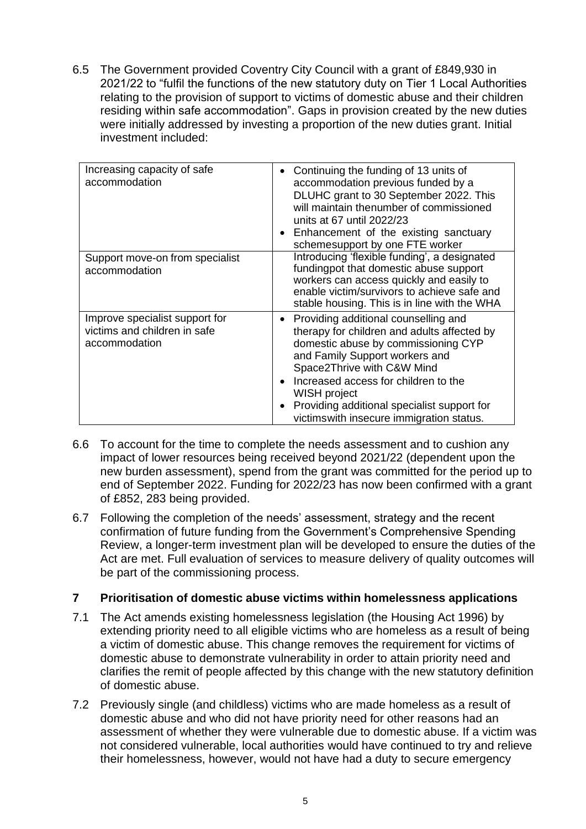6.5 The Government provided Coventry City Council with a grant of £849,930 in 2021/22 to "fulfil the functions of the new statutory duty on Tier 1 Local Authorities relating to the provision of support to victims of domestic abuse and their children residing within safe accommodation". Gaps in provision created by the new duties were initially addressed by investing a proportion of the new duties grant. Initial investment included:

| Increasing capacity of safe<br>accommodation                                    | Continuing the funding of 13 units of<br>accommodation previous funded by a<br>DLUHC grant to 30 September 2022. This<br>will maintain thenumber of commissioned<br>units at 67 until 2022/23<br>Enhancement of the existing sanctuary<br>schemesupport by one FTE worker                                                                      |
|---------------------------------------------------------------------------------|------------------------------------------------------------------------------------------------------------------------------------------------------------------------------------------------------------------------------------------------------------------------------------------------------------------------------------------------|
| Support move-on from specialist<br>accommodation                                | Introducing 'flexible funding', a designated<br>fundingpot that domestic abuse support<br>workers can access quickly and easily to<br>enable victim/survivors to achieve safe and<br>stable housing. This is in line with the WHA                                                                                                              |
| Improve specialist support for<br>victims and children in safe<br>accommodation | Providing additional counselling and<br>therapy for children and adults affected by<br>domestic abuse by commissioning CYP<br>and Family Support workers and<br>Space2Thrive with C&W Mind<br>Increased access for children to the<br>WISH project<br>Providing additional specialist support for<br>victims with insecure immigration status. |

- 6.6 To account for the time to complete the needs assessment and to cushion any impact of lower resources being received beyond 2021/22 (dependent upon the new burden assessment), spend from the grant was committed for the period up to end of September 2022. Funding for 2022/23 has now been confirmed with a grant of £852, 283 being provided.
- 6.7 Following the completion of the needs' assessment, strategy and the recent confirmation of future funding from the Government's Comprehensive Spending Review, a longer-term investment plan will be developed to ensure the duties of the Act are met. Full evaluation of services to measure delivery of quality outcomes will be part of the commissioning process.

# **7 Prioritisation of domestic abuse victims within homelessness applications**

- 7.1 The Act amends existing homelessness legislation (the Housing Act 1996) by extending priority need to all eligible victims who are homeless as a result of being a victim of domestic abuse. This change removes the requirement for victims of domestic abuse to demonstrate vulnerability in order to attain priority need and clarifies the remit of people affected by this change with the new statutory definition of domestic abuse.
- 7.2 Previously single (and childless) victims who are made homeless as a result of domestic abuse and who did not have priority need for other reasons had an assessment of whether they were vulnerable due to domestic abuse. If a victim was not considered vulnerable, local authorities would have continued to try and relieve their homelessness, however, would not have had a duty to secure emergency